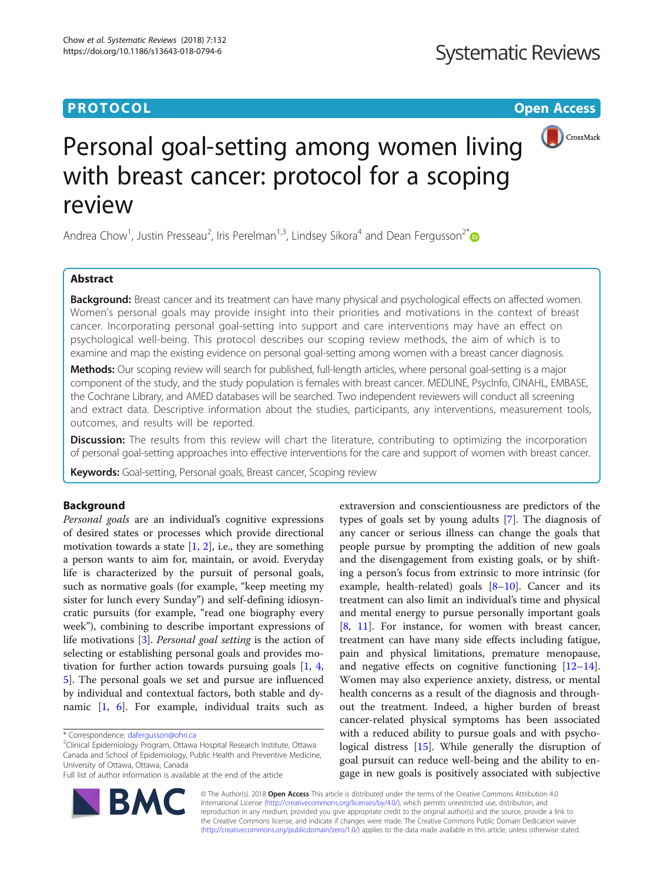# **PROTOCOL CONSUMING THE OPEN ACCESS**



# Personal goal-setting among women living with breast cancer: protocol for a scoping review

Andrea Chow<sup>1</sup>, Justin Presseau<sup>2</sup>, Iris Perelman<sup>1,3</sup>, Lindsey Sikora<sup>4</sup> and Dean Fergusson<sup>2[\\*](http://orcid.org/0000-0002-3389-2485)</sup>

# Abstract

Background: Breast cancer and its treatment can have many physical and psychological effects on affected women. Women's personal goals may provide insight into their priorities and motivations in the context of breast cancer. Incorporating personal goal-setting into support and care interventions may have an effect on psychological well-being. This protocol describes our scoping review methods, the aim of which is to examine and map the existing evidence on personal goal-setting among women with a breast cancer diagnosis.

Methods: Our scoping review will search for published, full-length articles, where personal goal-setting is a major component of the study, and the study population is females with breast cancer. MEDLINE, PsycInfo, CINAHL, EMBASE, the Cochrane Library, and AMED databases will be searched. Two independent reviewers will conduct all screening and extract data. Descriptive information about the studies, participants, any interventions, measurement tools, outcomes, and results will be reported.

Discussion: The results from this review will chart the literature, contributing to optimizing the incorporation of personal goal-setting approaches into effective interventions for the care and support of women with breast cancer.

Keywords: Goal-setting, Personal goals, Breast cancer, Scoping review

# Background

Personal goals are an individual's cognitive expressions of desired states or processes which provide directional motivation towards a state  $[1, 2]$  $[1, 2]$  $[1, 2]$  $[1, 2]$  $[1, 2]$ , i.e., they are something a person wants to aim for, maintain, or avoid. Everyday life is characterized by the pursuit of personal goals, such as normative goals (for example, "keep meeting my sister for lunch every Sunday") and self-defining idiosyncratic pursuits (for example, "read one biography every week"), combining to describe important expressions of life motivations [[3\]](#page-5-0). Personal goal setting is the action of selecting or establishing personal goals and provides motivation for further action towards pursuing goals [\[1](#page-5-0), [4](#page-5-0), [5\]](#page-5-0). The personal goals we set and pursue are influenced by individual and contextual factors, both stable and dynamic [\[1,](#page-5-0) [6](#page-5-0)]. For example, individual traits such as

 $2$ Clinical Epidemiology Program, Ottawa Hospital Research Institute, Ottawa Canada and School of Epidemiology, Public Health and Preventive Medicine, University of Ottawa, Ottawa, Canada

extraversion and conscientiousness are predictors of the types of goals set by young adults [[7\]](#page-5-0). The diagnosis of any cancer or serious illness can change the goals that people pursue by prompting the addition of new goals and the disengagement from existing goals, or by shifting a person's focus from extrinsic to more intrinsic (for example, health-related) goals  $[8-10]$  $[8-10]$  $[8-10]$  $[8-10]$  $[8-10]$ . Cancer and its treatment can also limit an individual's time and physical and mental energy to pursue personally important goals [[8,](#page-5-0) [11\]](#page-5-0). For instance, for women with breast cancer, treatment can have many side effects including fatigue, pain and physical limitations, premature menopause, and negative effects on cognitive functioning  $[12-14]$  $[12-14]$  $[12-14]$  $[12-14]$  $[12-14]$ . Women may also experience anxiety, distress, or mental health concerns as a result of the diagnosis and throughout the treatment. Indeed, a higher burden of breast cancer-related physical symptoms has been associated with a reduced ability to pursue goals and with psychological distress [\[15](#page-5-0)]. While generally the disruption of goal pursuit can reduce well-being and the ability to engage in new goals is positively associated with subjective



© The Author(s). 2018 Open Access This article is distributed under the terms of the Creative Commons Attribution 4.0 International License [\(http://creativecommons.org/licenses/by/4.0/](http://creativecommons.org/licenses/by/4.0/)), which permits unrestricted use, distribution, and reproduction in any medium, provided you give appropriate credit to the original author(s) and the source, provide a link to the Creative Commons license, and indicate if changes were made. The Creative Commons Public Domain Dedication waiver [\(http://creativecommons.org/publicdomain/zero/1.0/](http://creativecommons.org/publicdomain/zero/1.0/)) applies to the data made available in this article, unless otherwise stated.

<sup>\*</sup> Correspondence: [dafergusson@ohri.ca](mailto:dafergusson@ohri.ca) <sup>2</sup>

Full list of author information is available at the end of the article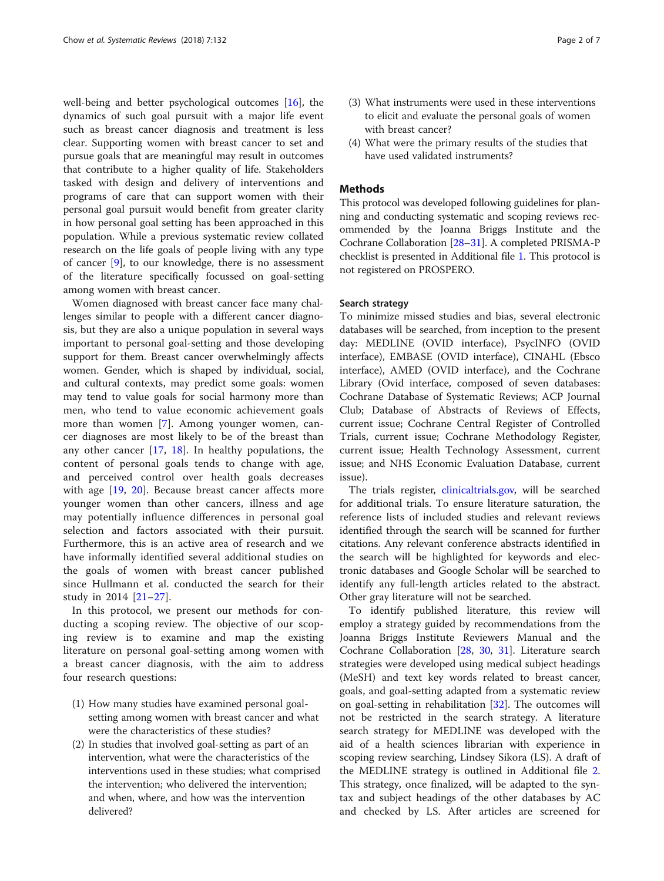well-being and better psychological outcomes [[16\]](#page-5-0), the dynamics of such goal pursuit with a major life event such as breast cancer diagnosis and treatment is less clear. Supporting women with breast cancer to set and pursue goals that are meaningful may result in outcomes that contribute to a higher quality of life. Stakeholders tasked with design and delivery of interventions and programs of care that can support women with their personal goal pursuit would benefit from greater clarity in how personal goal setting has been approached in this population. While a previous systematic review collated research on the life goals of people living with any type of cancer [\[9](#page-5-0)], to our knowledge, there is no assessment of the literature specifically focussed on goal-setting among women with breast cancer.

Women diagnosed with breast cancer face many challenges similar to people with a different cancer diagnosis, but they are also a unique population in several ways important to personal goal-setting and those developing support for them. Breast cancer overwhelmingly affects women. Gender, which is shaped by individual, social, and cultural contexts, may predict some goals: women may tend to value goals for social harmony more than men, who tend to value economic achievement goals more than women [\[7](#page-5-0)]. Among younger women, cancer diagnoses are most likely to be of the breast than any other cancer [\[17](#page-5-0), [18\]](#page-5-0). In healthy populations, the content of personal goals tends to change with age, and perceived control over health goals decreases with age [\[19](#page-5-0), [20](#page-5-0)]. Because breast cancer affects more younger women than other cancers, illness and age may potentially influence differences in personal goal selection and factors associated with their pursuit. Furthermore, this is an active area of research and we have informally identified several additional studies on the goals of women with breast cancer published since Hullmann et al. conducted the search for their study in 2014 [\[21](#page-5-0)–[27](#page-6-0)].

In this protocol, we present our methods for conducting a scoping review. The objective of our scoping review is to examine and map the existing literature on personal goal-setting among women with a breast cancer diagnosis, with the aim to address four research questions:

- (1) How many studies have examined personal goalsetting among women with breast cancer and what were the characteristics of these studies?
- (2) In studies that involved goal-setting as part of an intervention, what were the characteristics of the interventions used in these studies; what comprised the intervention; who delivered the intervention; and when, where, and how was the intervention delivered?
- (3) What instruments were used in these interventions to elicit and evaluate the personal goals of women with breast cancer?
- (4) What were the primary results of the studies that have used validated instruments?

# Methods

This protocol was developed following guidelines for planning and conducting systematic and scoping reviews recommended by the Joanna Briggs Institute and the Cochrane Collaboration [[28](#page-6-0)–[31\]](#page-6-0). A completed PRISMA-P checklist is presented in Additional file [1.](#page-5-0) This protocol is not registered on PROSPERO.

## Search strategy

To minimize missed studies and bias, several electronic databases will be searched, from inception to the present day: MEDLINE (OVID interface), PsycINFO (OVID interface), EMBASE (OVID interface), CINAHL (Ebsco interface), AMED (OVID interface), and the Cochrane Library (Ovid interface, composed of seven databases: Cochrane Database of Systematic Reviews; ACP Journal Club; Database of Abstracts of Reviews of Effects, current issue; Cochrane Central Register of Controlled Trials, current issue; Cochrane Methodology Register, current issue; Health Technology Assessment, current issue; and NHS Economic Evaluation Database, current issue).

The trials register, [clinicaltrials.gov,](http://clinicaltrials.gov) will be searched for additional trials. To ensure literature saturation, the reference lists of included studies and relevant reviews identified through the search will be scanned for further citations. Any relevant conference abstracts identified in the search will be highlighted for keywords and electronic databases and Google Scholar will be searched to identify any full-length articles related to the abstract. Other gray literature will not be searched.

To identify published literature, this review will employ a strategy guided by recommendations from the Joanna Briggs Institute Reviewers Manual and the Cochrane Collaboration [\[28,](#page-6-0) [30,](#page-6-0) [31\]](#page-6-0). Literature search strategies were developed using medical subject headings (MeSH) and text key words related to breast cancer, goals, and goal-setting adapted from a systematic review on goal-setting in rehabilitation [[32](#page-6-0)]. The outcomes will not be restricted in the search strategy. A literature search strategy for MEDLINE was developed with the aid of a health sciences librarian with experience in scoping review searching, Lindsey Sikora (LS). A draft of the MEDLINE strategy is outlined in Additional file [2](#page-5-0). This strategy, once finalized, will be adapted to the syntax and subject headings of the other databases by AC and checked by LS. After articles are screened for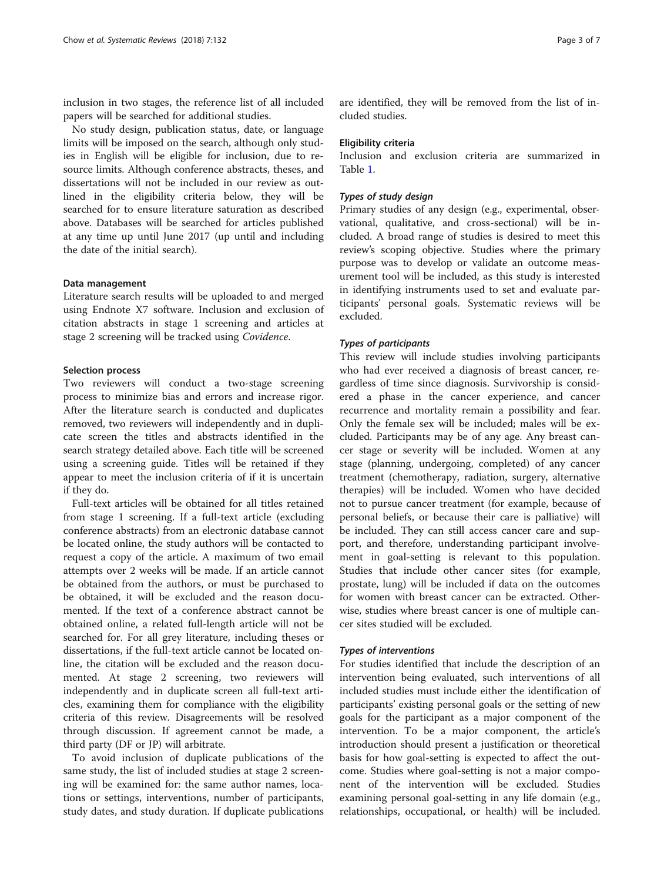inclusion in two stages, the reference list of all included papers will be searched for additional studies.

No study design, publication status, date, or language limits will be imposed on the search, although only studies in English will be eligible for inclusion, due to resource limits. Although conference abstracts, theses, and dissertations will not be included in our review as outlined in the eligibility criteria below, they will be searched for to ensure literature saturation as described above. Databases will be searched for articles published at any time up until June 2017 (up until and including the date of the initial search).

#### Data management

Literature search results will be uploaded to and merged using Endnote X7 software. Inclusion and exclusion of citation abstracts in stage 1 screening and articles at stage 2 screening will be tracked using Covidence.

#### Selection process

Two reviewers will conduct a two-stage screening process to minimize bias and errors and increase rigor. After the literature search is conducted and duplicates removed, two reviewers will independently and in duplicate screen the titles and abstracts identified in the search strategy detailed above. Each title will be screened using a screening guide. Titles will be retained if they appear to meet the inclusion criteria of if it is uncertain if they do.

Full-text articles will be obtained for all titles retained from stage 1 screening. If a full-text article (excluding conference abstracts) from an electronic database cannot be located online, the study authors will be contacted to request a copy of the article. A maximum of two email attempts over 2 weeks will be made. If an article cannot be obtained from the authors, or must be purchased to be obtained, it will be excluded and the reason documented. If the text of a conference abstract cannot be obtained online, a related full-length article will not be searched for. For all grey literature, including theses or dissertations, if the full-text article cannot be located online, the citation will be excluded and the reason documented. At stage 2 screening, two reviewers will independently and in duplicate screen all full-text articles, examining them for compliance with the eligibility criteria of this review. Disagreements will be resolved through discussion. If agreement cannot be made, a third party (DF or JP) will arbitrate.

To avoid inclusion of duplicate publications of the same study, the list of included studies at stage 2 screening will be examined for: the same author names, locations or settings, interventions, number of participants, study dates, and study duration. If duplicate publications

are identified, they will be removed from the list of included studies.

#### Eligibility criteria

Inclusion and exclusion criteria are summarized in Table [1.](#page-3-0)

## Types of study design

Primary studies of any design (e.g., experimental, observational, qualitative, and cross-sectional) will be included. A broad range of studies is desired to meet this review's scoping objective. Studies where the primary purpose was to develop or validate an outcome measurement tool will be included, as this study is interested in identifying instruments used to set and evaluate participants' personal goals. Systematic reviews will be excluded.

#### Types of participants

This review will include studies involving participants who had ever received a diagnosis of breast cancer, regardless of time since diagnosis. Survivorship is considered a phase in the cancer experience, and cancer recurrence and mortality remain a possibility and fear. Only the female sex will be included; males will be excluded. Participants may be of any age. Any breast cancer stage or severity will be included. Women at any stage (planning, undergoing, completed) of any cancer treatment (chemotherapy, radiation, surgery, alternative therapies) will be included. Women who have decided not to pursue cancer treatment (for example, because of personal beliefs, or because their care is palliative) will be included. They can still access cancer care and support, and therefore, understanding participant involvement in goal-setting is relevant to this population. Studies that include other cancer sites (for example, prostate, lung) will be included if data on the outcomes for women with breast cancer can be extracted. Otherwise, studies where breast cancer is one of multiple cancer sites studied will be excluded.

#### Types of interventions

For studies identified that include the description of an intervention being evaluated, such interventions of all included studies must include either the identification of participants' existing personal goals or the setting of new goals for the participant as a major component of the intervention. To be a major component, the article's introduction should present a justification or theoretical basis for how goal-setting is expected to affect the outcome. Studies where goal-setting is not a major component of the intervention will be excluded. Studies examining personal goal-setting in any life domain (e.g., relationships, occupational, or health) will be included.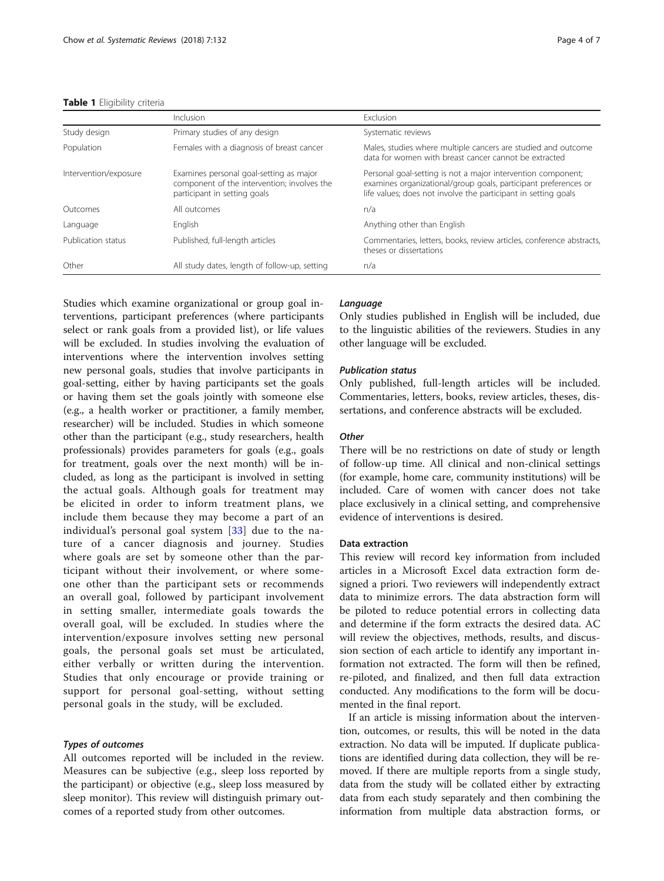#### <span id="page-3-0"></span>Table 1 Eligibility criteria

|                       | <b>Inclusion</b>                                                                                                       | Exclusion                                                                                                                                                                                         |
|-----------------------|------------------------------------------------------------------------------------------------------------------------|---------------------------------------------------------------------------------------------------------------------------------------------------------------------------------------------------|
| Study design          | Primary studies of any design                                                                                          | Systematic reviews                                                                                                                                                                                |
| Population            | Females with a diagnosis of breast cancer                                                                              | Males, studies where multiple cancers are studied and outcome<br>data for women with breast cancer cannot be extracted                                                                            |
| Intervention/exposure | Examines personal goal-setting as major<br>component of the intervention; involves the<br>participant in setting goals | Personal goal-setting is not a major intervention component;<br>examines organizational/group goals, participant preferences or<br>life values; does not involve the participant in setting goals |
| Outcomes              | All outcomes                                                                                                           | n/a                                                                                                                                                                                               |
| Language              | English                                                                                                                | Anything other than English                                                                                                                                                                       |
| Publication status    | Published, full-length articles                                                                                        | Commentaries, letters, books, review articles, conference abstracts<br>theses or dissertations                                                                                                    |

Studies which examine organizational or group goal interventions, participant preferences (where participants select or rank goals from a provided list), or life values will be excluded. In studies involving the evaluation of interventions where the intervention involves setting new personal goals, studies that involve participants in goal-setting, either by having participants set the goals or having them set the goals jointly with someone else (e.g., a health worker or practitioner, a family member, researcher) will be included. Studies in which someone other than the participant (e.g., study researchers, health professionals) provides parameters for goals (e.g., goals for treatment, goals over the next month) will be included, as long as the participant is involved in setting the actual goals. Although goals for treatment may be elicited in order to inform treatment plans, we include them because they may become a part of an individual's personal goal system [[33](#page-6-0)] due to the nature of a cancer diagnosis and journey. Studies where goals are set by someone other than the participant without their involvement, or where someone other than the participant sets or recommends an overall goal, followed by participant involvement in setting smaller, intermediate goals towards the overall goal, will be excluded. In studies where the intervention/exposure involves setting new personal goals, the personal goals set must be articulated, either verbally or written during the intervention. Studies that only encourage or provide training or support for personal goal-setting, without setting

Other All study dates, length of follow-up, setting n/a

# Types of outcomes

All outcomes reported will be included in the review. Measures can be subjective (e.g., sleep loss reported by the participant) or objective (e.g., sleep loss measured by sleep monitor). This review will distinguish primary outcomes of a reported study from other outcomes.

personal goals in the study, will be excluded.

#### Language

Only studies published in English will be included, due to the linguistic abilities of the reviewers. Studies in any other language will be excluded.

#### Publication status

Only published, full-length articles will be included. Commentaries, letters, books, review articles, theses, dissertations, and conference abstracts will be excluded.

## **Other**

There will be no restrictions on date of study or length of follow-up time. All clinical and non-clinical settings (for example, home care, community institutions) will be included. Care of women with cancer does not take place exclusively in a clinical setting, and comprehensive evidence of interventions is desired.

#### Data extraction

This review will record key information from included articles in a Microsoft Excel data extraction form designed a priori. Two reviewers will independently extract data to minimize errors. The data abstraction form will be piloted to reduce potential errors in collecting data and determine if the form extracts the desired data. AC will review the objectives, methods, results, and discussion section of each article to identify any important information not extracted. The form will then be refined, re-piloted, and finalized, and then full data extraction conducted. Any modifications to the form will be documented in the final report.

If an article is missing information about the intervention, outcomes, or results, this will be noted in the data extraction. No data will be imputed. If duplicate publications are identified during data collection, they will be removed. If there are multiple reports from a single study, data from the study will be collated either by extracting data from each study separately and then combining the information from multiple data abstraction forms, or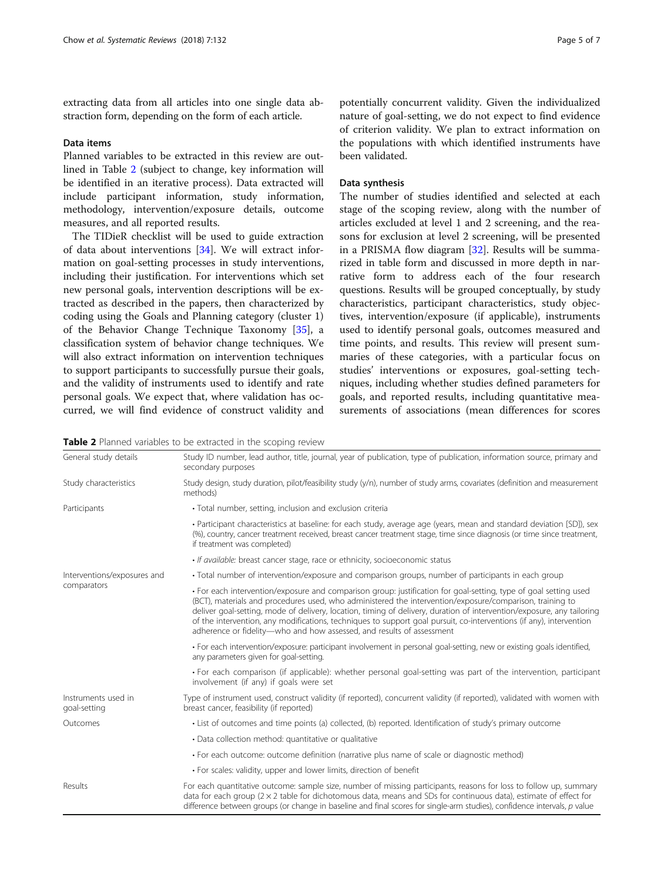extracting data from all articles into one single data abstraction form, depending on the form of each article.

#### Data items

Planned variables to be extracted in this review are outlined in Table 2 (subject to change, key information will be identified in an iterative process). Data extracted will include participant information, study information, methodology, intervention/exposure details, outcome measures, and all reported results.

The TIDieR checklist will be used to guide extraction of data about interventions [[34\]](#page-6-0). We will extract information on goal-setting processes in study interventions, including their justification. For interventions which set new personal goals, intervention descriptions will be extracted as described in the papers, then characterized by coding using the Goals and Planning category (cluster 1) of the Behavior Change Technique Taxonomy [[35](#page-6-0)], a classification system of behavior change techniques. We will also extract information on intervention techniques to support participants to successfully pursue their goals, and the validity of instruments used to identify and rate personal goals. We expect that, where validation has occurred, we will find evidence of construct validity and

potentially concurrent validity. Given the individualized nature of goal-setting, we do not expect to find evidence of criterion validity. We plan to extract information on the populations with which identified instruments have been validated.

# Data synthesis

The number of studies identified and selected at each stage of the scoping review, along with the number of articles excluded at level 1 and 2 screening, and the reasons for exclusion at level 2 screening, will be presented in a PRISMA flow diagram [\[32](#page-6-0)]. Results will be summarized in table form and discussed in more depth in narrative form to address each of the four research questions. Results will be grouped conceptually, by study characteristics, participant characteristics, study objectives, intervention/exposure (if applicable), instruments used to identify personal goals, outcomes measured and time points, and results. This review will present summaries of these categories, with a particular focus on studies' interventions or exposures, goal-setting techniques, including whether studies defined parameters for goals, and reported results, including quantitative measurements of associations (mean differences for scores

Table 2 Planned variables to be extracted in the scoping review

| General study details               | Study ID number, lead author, title, journal, year of publication, type of publication, information source, primary and<br>secondary purposes                                                                                                                                                                                                                                                                                                                                                                                                          |  |
|-------------------------------------|--------------------------------------------------------------------------------------------------------------------------------------------------------------------------------------------------------------------------------------------------------------------------------------------------------------------------------------------------------------------------------------------------------------------------------------------------------------------------------------------------------------------------------------------------------|--|
| Study characteristics               | Study design, study duration, pilot/feasibility study (y/n), number of study arms, covariates (definition and measurement<br>methods)                                                                                                                                                                                                                                                                                                                                                                                                                  |  |
| Participants                        | • Total number, setting, inclusion and exclusion criteria                                                                                                                                                                                                                                                                                                                                                                                                                                                                                              |  |
|                                     | · Participant characteristics at baseline: for each study, average age (years, mean and standard deviation [SD]), sex<br>(%), country, cancer treatment received, breast cancer treatment stage, time since diagnosis (or time since treatment,<br>if treatment was completed)                                                                                                                                                                                                                                                                         |  |
|                                     | · If available: breast cancer stage, race or ethnicity, socioeconomic status                                                                                                                                                                                                                                                                                                                                                                                                                                                                           |  |
| Interventions/exposures and         | • Total number of intervention/exposure and comparison groups, number of participants in each group                                                                                                                                                                                                                                                                                                                                                                                                                                                    |  |
| comparators                         | • For each intervention/exposure and comparison group: justification for goal-setting, type of goal setting used<br>(BCT), materials and procedures used, who administered the intervention/exposure/comparison, training to<br>deliver goal-setting, mode of delivery, location, timing of delivery, duration of intervention/exposure, any tailoring<br>of the intervention, any modifications, techniques to support goal pursuit, co-interventions (if any), intervention<br>adherence or fidelity-who and how assessed, and results of assessment |  |
|                                     | · For each intervention/exposure: participant involvement in personal goal-setting, new or existing goals identified,<br>any parameters given for goal-setting.                                                                                                                                                                                                                                                                                                                                                                                        |  |
|                                     | • For each comparison (if applicable): whether personal goal-setting was part of the intervention, participant<br>involvement (if any) if goals were set                                                                                                                                                                                                                                                                                                                                                                                               |  |
| Instruments used in<br>goal-setting | Type of instrument used, construct validity (if reported), concurrent validity (if reported), validated with women with<br>breast cancer, feasibility (if reported)                                                                                                                                                                                                                                                                                                                                                                                    |  |
| Outcomes                            | • List of outcomes and time points (a) collected, (b) reported. Identification of study's primary outcome                                                                                                                                                                                                                                                                                                                                                                                                                                              |  |
|                                     | · Data collection method: quantitative or qualitative                                                                                                                                                                                                                                                                                                                                                                                                                                                                                                  |  |
|                                     | · For each outcome: outcome definition (narrative plus name of scale or diagnostic method)                                                                                                                                                                                                                                                                                                                                                                                                                                                             |  |
|                                     | • For scales: validity, upper and lower limits, direction of benefit                                                                                                                                                                                                                                                                                                                                                                                                                                                                                   |  |
| Results                             | For each quantitative outcome: sample size, number of missing participants, reasons for loss to follow up, summary<br>data for each group $(2 \times 2)$ table for dichotomous data, means and SDs for continuous data), estimate of effect for<br>difference between groups (or change in baseline and final scores for single-arm studies), confidence intervals, p value                                                                                                                                                                            |  |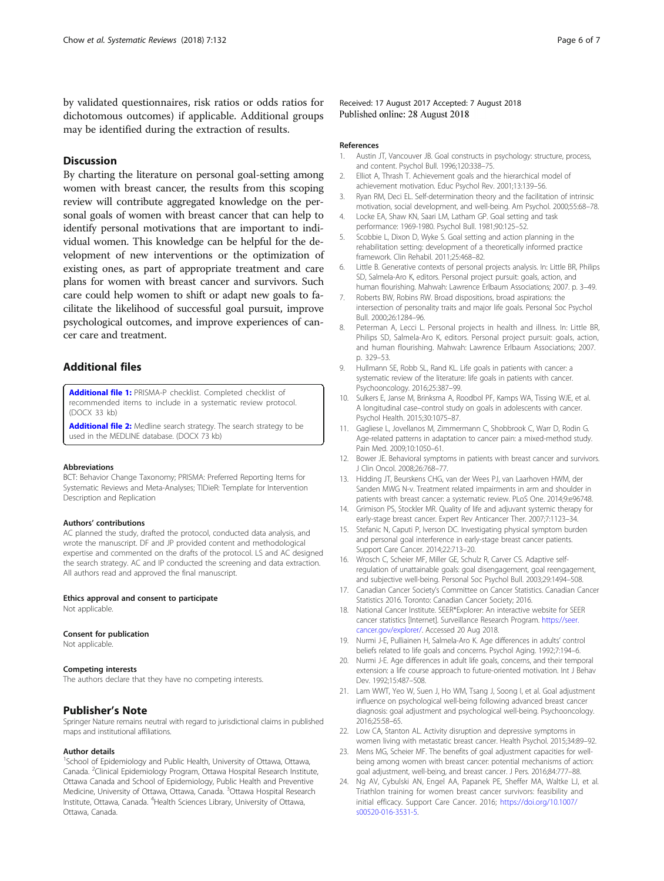<span id="page-5-0"></span>by validated questionnaires, risk ratios or odds ratios for dichotomous outcomes) if applicable. Additional groups may be identified during the extraction of results.

# **Discussion**

By charting the literature on personal goal-setting among women with breast cancer, the results from this scoping review will contribute aggregated knowledge on the personal goals of women with breast cancer that can help to identify personal motivations that are important to individual women. This knowledge can be helpful for the development of new interventions or the optimization of existing ones, as part of appropriate treatment and care plans for women with breast cancer and survivors. Such care could help women to shift or adapt new goals to facilitate the likelihood of successful goal pursuit, improve psychological outcomes, and improve experiences of cancer care and treatment.

# Additional files

[Additional file 1:](https://doi.org/10.1186/s13643-018-0794-6) PRISMA-P checklist. Completed checklist of recommended items to include in a systematic review protocol. (DOCX 33 kb)

[Additional file 2:](https://doi.org/10.1186/s13643-018-0794-6) Medline search strategy. The search strategy to be used in the MEDLINE database. (DOCX 73 kb)

#### Abbreviations

BCT: Behavior Change Taxonomy; PRISMA: Preferred Reporting Items for Systematic Reviews and Meta-Analyses; TIDieR: Template for Intervention Description and Replication

#### Authors' contributions

AC planned the study, drafted the protocol, conducted data analysis, and wrote the manuscript. DF and JP provided content and methodological expertise and commented on the drafts of the protocol. LS and AC designed the search strategy. AC and IP conducted the screening and data extraction. All authors read and approved the final manuscript.

#### Ethics approval and consent to participate

Not applicable.

#### Consent for publication

Not applicable.

#### Competing interests

The authors declare that they have no competing interests.

# Publisher's Note

Springer Nature remains neutral with regard to jurisdictional claims in published maps and institutional affiliations.

#### Author details

<sup>1</sup>School of Epidemiology and Public Health, University of Ottawa, Ottawa, Canada. <sup>2</sup>Clinical Epidemiology Program, Ottawa Hospital Research Institute, Ottawa Canada and School of Epidemiology, Public Health and Preventive Medicine, University of Ottawa, Ottawa, Canada. <sup>3</sup>Ottawa Hospital Research Institute, Ottawa, Canada. <sup>4</sup>Health Sciences Library, University of Ottawa, Ottawa, Canada.

Received: 17 August 2017 Accepted: 7 August 2018 Published online: 28 August 2018

#### References

- 1. Austin JT, Vancouver JB. Goal constructs in psychology: structure, process, and content. Psychol Bull. 1996;120:338–75.
- 2. Elliot A, Thrash T. Achievement goals and the hierarchical model of achievement motivation. Educ Psychol Rev. 2001;13:139–56.
- 3. Ryan RM, Deci EL. Self-determination theory and the facilitation of intrinsic motivation, social development, and well-being. Am Psychol. 2000;55:68–78.
- 4. Locke EA, Shaw KN, Saari LM, Latham GP. Goal setting and task performance: 1969-1980. Psychol Bull. 1981;90:125–52.
- 5. Scobbie L, Dixon D, Wyke S. Goal setting and action planning in the rehabilitation setting: development of a theoretically informed practice framework. Clin Rehabil. 2011;25:468–82.
- 6. Little B. Generative contexts of personal projects analysis. In: Little BR, Philips SD, Salmela-Aro K, editors. Personal project pursuit: goals, action, and human flourishing. Mahwah: Lawrence Erlbaum Associations; 2007. p. 3–49.
- 7. Roberts BW, Robins RW. Broad dispositions, broad aspirations: the intersection of personality traits and major life goals. Personal Soc Psychol Bull. 2000;26:1284–96.
- 8. Peterman A, Lecci L. Personal projects in health and illness. In: Little BR, Philips SD, Salmela-Aro K, editors. Personal project pursuit: goals, action, and human flourishing. Mahwah: Lawrence Erlbaum Associations; 2007. p. 329–53.
- 9. Hullmann SE, Robb SL, Rand KL. Life goals in patients with cancer: a systematic review of the literature: life goals in patients with cancer. Psychooncology. 2016;25:387–99.
- 10. Sulkers E, Janse M, Brinksma A, Roodbol PF, Kamps WA, Tissing WJE, et al. A longitudinal case–control study on goals in adolescents with cancer. Psychol Health. 2015;30:1075–87.
- 11. Gagliese L, Jovellanos M, Zimmermann C, Shobbrook C, Warr D, Rodin G. Age-related patterns in adaptation to cancer pain: a mixed-method study. Pain Med. 2009;10:1050–61.
- 12. Bower JE. Behavioral symptoms in patients with breast cancer and survivors. J Clin Oncol. 2008;26:768–77.
- 13. Hidding JT, Beurskens CHG, van der Wees PJ, van Laarhoven HWM, der Sanden MWG N-v. Treatment related impairments in arm and shoulder in patients with breast cancer: a systematic review. PLoS One. 2014;9:e96748.
- 14. Grimison PS, Stockler MR. Quality of life and adjuvant systemic therapy for early-stage breast cancer. Expert Rev Anticancer Ther. 2007;7:1123–34.
- 15. Stefanic N, Caputi P, Iverson DC. Investigating physical symptom burden and personal goal interference in early-stage breast cancer patients. Support Care Cancer. 2014;22:713–20.
- 16. Wrosch C, Scheier MF, Miller GE, Schulz R, Carver CS. Adaptive selfregulation of unattainable goals: goal disengagement, goal reengagement, and subjective well-being. Personal Soc Psychol Bull. 2003;29:1494–508.
- 17. Canadian Cancer Society's Committee on Cancer Statistics. Canadian Cancer Statistics 2016. Toronto: Canadian Cancer Society; 2016.
- 18. National Cancer Institute. SEER\*Explorer: An interactive website for SEER cancer statistics [Internet]. Surveillance Research Program. [https://seer.](https://seer.cancer.gov/explorer/) [cancer.gov/explorer/](https://seer.cancer.gov/explorer/). Accessed 20 Aug 2018.
- 19. Nurmi J-E, Pulliainen H, Salmela-Aro K. Age differences in adults' control beliefs related to life goals and concerns. Psychol Aging. 1992;7:194–6.
- 20. Nurmi J-E. Age differences in adult life goals, concerns, and their temporal extension: a life course approach to future-oriented motivation. Int J Behav Dev. 1992;15:487–508.
- 21. Lam WWT, Yeo W, Suen J, Ho WM, Tsang J, Soong I, et al. Goal adjustment influence on psychological well-being following advanced breast cancer diagnosis: goal adjustment and psychological well-being. Psychooncology. 2016;25:58–65.
- 22. Low CA, Stanton AL. Activity disruption and depressive symptoms in women living with metastatic breast cancer. Health Psychol. 2015;34:89–92.
- 23. Mens MG, Scheier MF. The benefits of goal adjustment capacities for wellbeing among women with breast cancer: potential mechanisms of action: goal adjustment, well-being, and breast cancer. J Pers. 2016;84:777–88.
- 24. Ng AV, Cybulski AN, Engel AA, Papanek PE, Sheffer MA, Waltke LJ, et al. Triathlon training for women breast cancer survivors: feasibility and initial efficacy. Support Care Cancer. 2016; [https://doi.org/10.1007/](https://doi.org/10.1007/s00520-016-3531-5) [s00520-016-3531-5](https://doi.org/10.1007/s00520-016-3531-5).